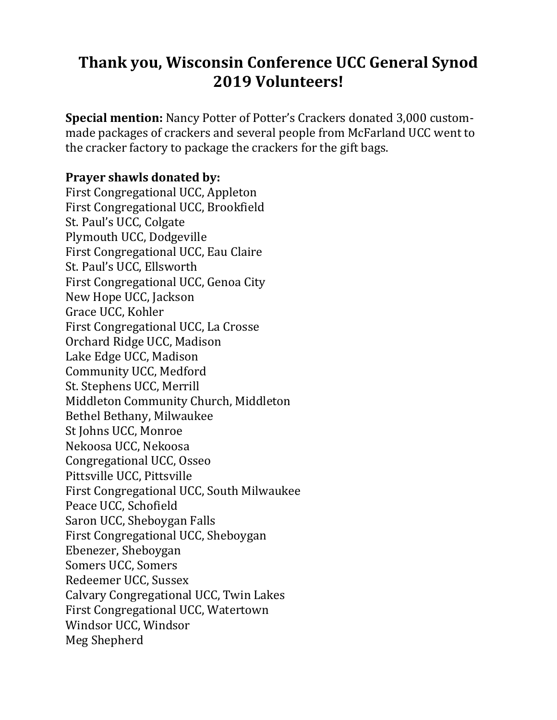## **Thank you, Wisconsin Conference UCC General Synod 2019 Volunteers!**

**Special mention:** Nancy Potter of Potter's Crackers donated 3,000 custommade packages of crackers and several people from McFarland UCC went to the cracker factory to package the crackers for the gift bags.

## **Prayer shawls donated by:**

First Congregational UCC, Appleton First Congregational UCC, Brookfield St. Paul's UCC, Colgate Plymouth UCC, Dodgeville First Congregational UCC, Eau Claire St. Paul's UCC, Ellsworth First Congregational UCC, Genoa City New Hope UCC, Jackson Grace UCC, Kohler First Congregational UCC, La Crosse Orchard Ridge UCC, Madison Lake Edge UCC, Madison Community UCC, Medford St. Stephens UCC, Merrill Middleton Community Church, Middleton Bethel Bethany, Milwaukee St Johns UCC, Monroe Nekoosa UCC, Nekoosa Congregational UCC, Osseo Pittsville UCC, Pittsville First Congregational UCC, South Milwaukee Peace UCC, Schofield Saron UCC, Sheboygan Falls First Congregational UCC, Sheboygan Ebenezer, Sheboygan Somers UCC, Somers Redeemer UCC, Sussex Calvary Congregational UCC, Twin Lakes First Congregational UCC, Watertown Windsor UCC, Windsor Meg Shepherd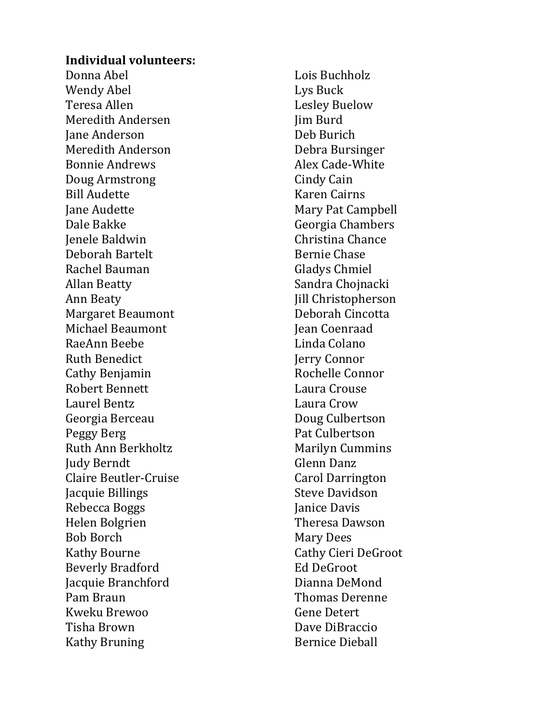## **Individual volunteers :**

Donna Abel Wendy Abel Teresa Allen Meredith Andersen Jane Anderson Meredith Anderson Bonnie Andrews Doug Armstrong Bill Audette Jane Audette Dale Bakke Jenele Baldwin Deborah Bartelt Rachel Bauman Allan Beatty Ann Beaty Margaret Beaumont Michael Beaumont RaeAnn Beebe Ruth Benedict Cathy Benjamin Robert Bennett Laurel Bentz Georgia Berceau Peggy Berg Ruth Ann Berkholtz Judy Berndt Claire Beutler -Cruise Jacquie Billings Rebecca Boggs Helen Bolgrien Bob Borch Kathy Bourne Beverly Bradford Jacquie Branchford Pam Braun Kweku Brewoo Tisha Brown Kathy Bruning

Lois Buchholz Lys Buck Lesley Buelow Jim Burd Deb Burich Debra Bursinger Alex Cade -White Cindy Cain Karen Cairns Mary Pat Campbell Georgia Chambers Christina Chance Bernie Chase Gladys Chmiel Sandra Chojnacki Jill Christopherson Deborah Cincotta Jean Coenraad Linda Colano Jerry Connor Rochelle Connor Laura Crouse Laura Crow Doug Culbertson Pat Culbertson Marily n Cummins Glenn Danz Carol Darrington Steve Davidson Janice Davis Theresa Dawson Mary Dees Cathy Cieri DeGroot Ed DeGroot Dianna DeMond Thomas Derenne Gene Detert Dave DiBraccio Bernice Dieball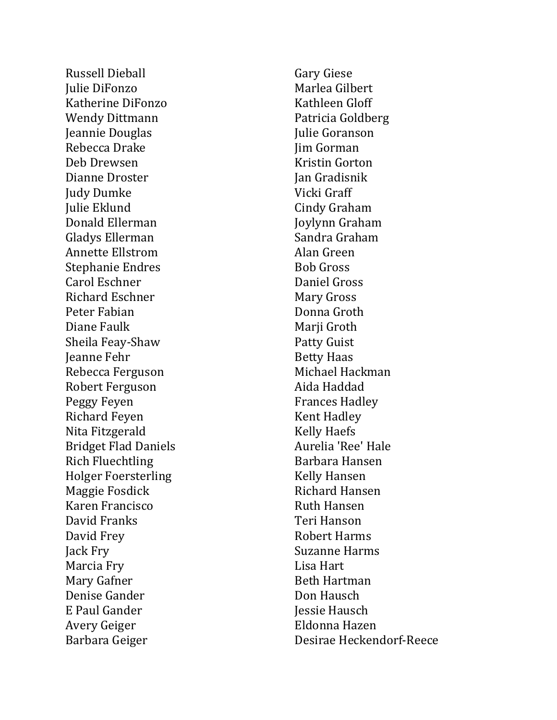Russell Dieball Julie DiFonzo Katherine DiFonzo Wendy Dittmann Jeannie Douglas Rebecca Drake Deb Drewsen Dianne Droster Judy Dumke Julie Eklund Donald Ellerman Gladys Ellerman Annette Ellstrom Stephanie Endres Carol Eschner Richard Eschner Peter Fabian Diane Faulk Sheila Feay -Shaw Jeanne Fehr Rebecca Ferguson Robert Ferguson Peggy Feyen Richard Feyen Nita Fitzgerald Bridget Flad Daniels Rich Fluechtling Holger Foersterling Maggie Fosdick Karen Francisco David Franks David Frey Jack Fry Marcia Fry Mary Gafner Denise Gander E Paul Gander Avery Geiger Barbara Geiger

Gary Giese Marlea Gilbert Kathleen Gloff Patricia Goldberg Julie Goranson Jim Gorman Kristin Gorton Jan Gradisnik Vicki Graff Cindy Graham Joylynn Graham Sandra Graham Alan Green Bob Gross Daniel Gross Mary Gross Donna Groth Marji Groth Patty Guist Betty Haas Michae l Hackman Aida Haddad Frances Hadley Kent Hadley Kelly Haefs Aurelia 'Ree' Hale Barbara Hansen Kelly Hansen Richard Hansen Ruth Hansen Teri Hanson Robert Harms Suzanne Harms Lisa Hart Beth Hartman Don Hausch Jessie Hausch Eldonna Hazen Desirae Heckendorf-Reece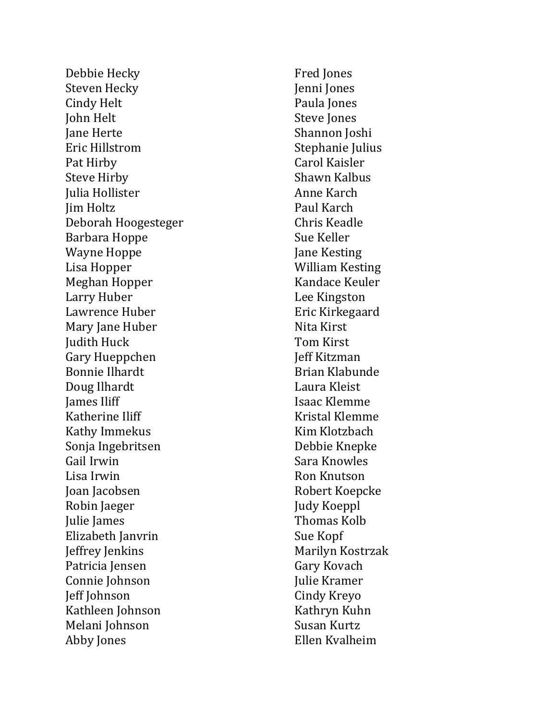Debbie Hecky Steven Hecky Cindy Helt John Helt Jane Herte Eric Hillstrom Pat Hirby Steve Hirby Julia Hollister Jim Holtz Deborah Hoogesteger Barbara Hoppe Wayne Hoppe Lisa Hopper Meghan Hopper Larry Huber Lawrence Huber Mary Jane Huber Judith Huck Gary Hueppchen Bonnie Ilhardt Doug Ilhardt James Iliff Katherine Iliff Kathy Immekus Sonja Ingebritsen Gail Irwin Lisa Irwin Joan Jacobsen Robin Jaeger Julie James Elizabeth Janvrin Jeffrey Jenkins Patricia Jensen Connie Johnson Jeff Johnson Kathleen Johnson Melani Johnson Abby Jones

Fred Jones Jenni Jones Paula Jones Steve Jones Shannon Joshi Stephanie Julius Carol Kaisler Shawn Kalbus Anne Karch Paul Karch Chris Keadle Sue Keller Jane Kesting William Kesting Kandace Keuler Lee Kingston Eric Kirkegaard Nita Kirst Tom Kirst Jeff Kitzman Brian Klabunde Laura Kleist Isaac Klemme Kristal Klemme Kim Klotzbach Debbie Knepke Sara Knowles Ron Knutson Robert Koepcke Judy Koeppl Thomas Kolb Sue Kopf Marilyn Kostrzak Gary Kovach Julie Kramer Cindy Kreyo Kathryn Kuhn Susan Kurtz Ellen Kvalheim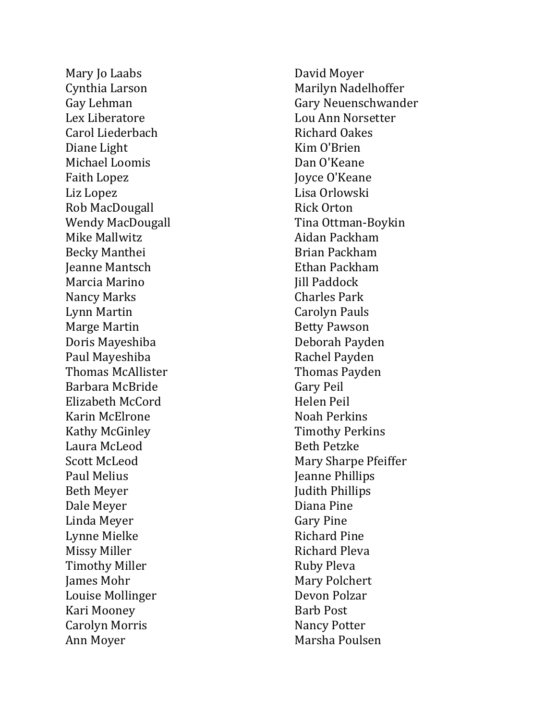Mary Jo Laabs Cynthia Larson Gay Lehman Lex Liberatore Carol Liederbach Diane Light Michael Loomis Faith Lopez Liz Lopez Rob MacDougall Wendy MacDougall Mike Mallwitz Becky Manthei Jeanne Mantsch Marcia Marino Nancy Marks Lynn Martin Marge Martin Doris Mayeshiba Paul Mayeshiba Thomas McAllister Barbara McBride Elizabeth McCord Karin McElrone Kathy McGinley Laura McLeod Scott McLeod Paul Melius Beth Meyer Dale Meyer Linda Meyer Lynne Mielke Missy Miller Timothy Miller James Mohr Louise Mollinger Kari Mooney Carolyn Morris Ann Moyer

David Moyer Marilyn Nadelhoffer Gary Neuenschwander Lou Ann Norsetter Richard Oakes Kim O'Brien Dan O'Keane Joyce O'Keane Lisa Orlowski Rick Orton Tina Ottman -Boykin Aidan Packham Brian Packham Ethan Packham Jill Paddock Charles Park Carolyn Pauls Betty Pawson Deborah Payden Rachel Payden Thomas Payden Gary Peil Helen Peil Noah Perkins Timothy Perkins Beth Petzke Mary Sharpe Pfeiffer Jeanne Phillips Judith Phillips Diana Pine Gary Pine Richard Pine Richard Pleva Ruby Pleva Mary Polchert Devon Polzar Barb Post Nancy Potter Marsha Poulsen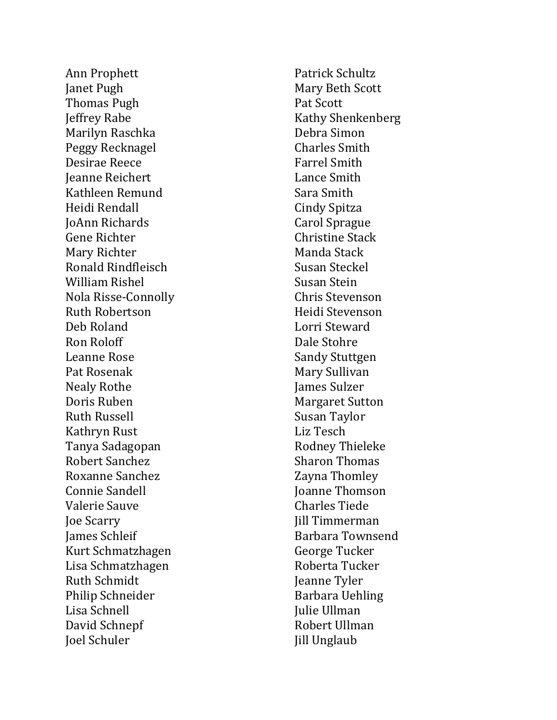Ann Prophett Janet Pugh Thomas Pugh Jeffrey Rabe Marilyn Raschka Peggy Recknagel Desirae Reece Jeanne Reichert Kathleen Remund Heidi Rendall JoAnn Richards Gene Richter Mary Richter Ronald Rindfleisch William Rishel Nola Risse -Connoll y Ruth Robertson Deb Roland Ron Roloff Leanne Rose Pat Rosenak Nealy Rothe Doris Ruben Ruth Russell Kathryn Rust Tanya Sadagopan Robert Sanchez Roxanne Sanchez Connie Sandell Valerie Sauve Joe Scarry James Schleif Kurt Schmatzhagen Lisa Schmatzhagen Ruth Schmidt Philip Schneider Lisa Schnell David Schnepf Joe l Schuler

Patrick Schultz Mary Beth Scott Pat Scott Kathy Shenkenberg Debra Simon Charles Smith Farrel Smith Lance Smith Sara Smith Cindy Spitza Carol Sprague Christine Stack Manda Stack Susan Steckel Susan Stein Chris Stevenson Heidi Stevenson Lorri Steward Dale Stohre Sandy Stuttgen Mary Sullivan James Sulzer Margaret Sutton Susan Taylor Liz Tesch Rodney Thieleke Sharon Thomas Zayna Thomley Joanne Thomson Charles Tiede Jill Timmerman Barbara Townsend George Tucker Roberta Tucker Jeanne Tyler Barbara Uehling Julie Ullman Robert Ullman Jill Unglaub